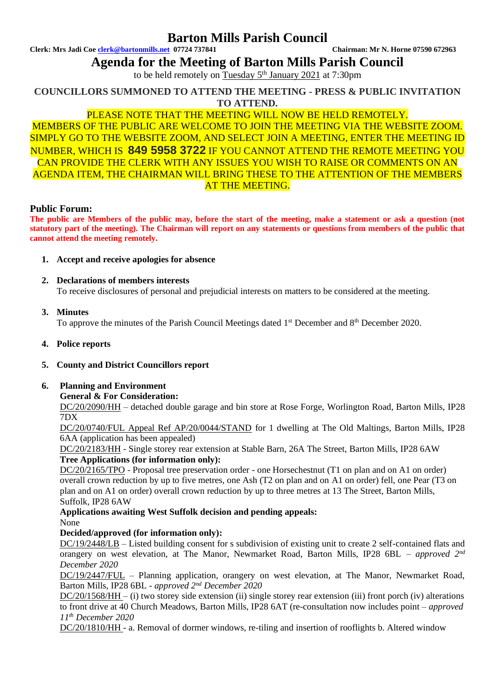# **Barton Mills Parish Council**

**Clerk: Mrs Jadi Coe [clerk@bartonmills.net](mailto:clerk@bartonmills.net) 07724 737841 Chairman: Mr N. Horne 07590 672963**

**Agenda for the Meeting of Barton Mills Parish Council**

to be held remotely on Tuesday 5<sup>th</sup> January 2021 at 7:30pm

**COUNCILLORS SUMMONED TO ATTEND THE MEETING - PRESS & PUBLIC INVITATION TO ATTEND.**

# PLEASE NOTE THAT THE MEETING WILL NOW BE HELD REMOTELY.

MEMBERS OF THE PUBLIC ARE WELCOME TO JOIN THE MEETING VIA THE WEBSITE ZOOM. SIMPLY GO TO THE WEBSITE ZOOM, AND SELECT JOIN A MEETING, ENTER THE MEETING ID NUMBER, WHICH IS **849 5958 3722** IF YOU CANNOT ATTEND THE REMOTE MEETING YOU CAN PROVIDE THE CLERK WITH ANY ISSUES YOU WISH TO RAISE OR COMMENTS ON AN AGENDA ITEM, THE CHAIRMAN WILL BRING THESE TO THE ATTENTION OF THE MEMBERS AT THE MEETING.

### **Public Forum:**

**The public are Members of the public may, before the start of the meeting, make a statement or ask a question (not statutory part of the meeting). The Chairman will report on any statements or questions from members of the public that cannot attend the meeting remotely.**

- **1. Accept and receive apologies for absence**
- **2. Declarations of members interests** To receive disclosures of personal and prejudicial interests on matters to be considered at the meeting.

**3. Minutes**

To approve the minutes of the Parish Council Meetings dated 1<sup>st</sup> December and 8<sup>th</sup> December 2020.

**4. Police reports**

## **5. County and District Councillors report**

### **6. Planning and Environment**

### **General & For Consideration:**

DC/20/2090/HH – detached double garage and bin store at Rose Forge, Worlington Road, Barton Mills, IP28 7DX

DC/20/0740/FUL Appeal Ref AP/20/0044/STAND for 1 dwelling at The Old Maltings, Barton Mills, IP28 6AA (application has been appealed)

DC/20/2183/HH - Single storey rear extension at Stable Barn, 26A The Street, Barton Mills, IP28 6AW **Tree Applications (for information only):**

DC/20/2165/TPO - Proposal tree preservation order - one Horsechestnut (T1 on plan and on A1 on order) overall crown reduction by up to five metres, one Ash (T2 on plan and on A1 on order) fell, one Pear (T3 on plan and on A1 on order) overall crown reduction by up to three metres at 13 The Street, Barton Mills, Suffolk, IP28 6AW

# **Applications awaiting West Suffolk decision and pending appeals:**

# None

## **Decided/approved (for information only):**

DC/19/2448/LB – Listed building consent for s subdivision of existing unit to create 2 self-contained flats and orangery on west elevation, at The Manor, Newmarket Road, Barton Mills, IP28 6BL – *approved 2nd December 2020*

DC/19/2447/FUL – Planning application, orangery on west elevation, at The Manor, Newmarket Road, Barton Mills, IP28 6BL - *approved 2nd December 2020*

DC/20/1568/HH – (i) two storey side extension (ii) single storey rear extension (iii) front porch (iv) alterations to front drive at 40 Church Meadows, Barton Mills, IP28 6AT (re-consultation now includes point *– approved 11th December 2020*

DC/20/1810/HH - a. Removal of dormer windows, re-tiling and insertion of rooflights b. Altered window